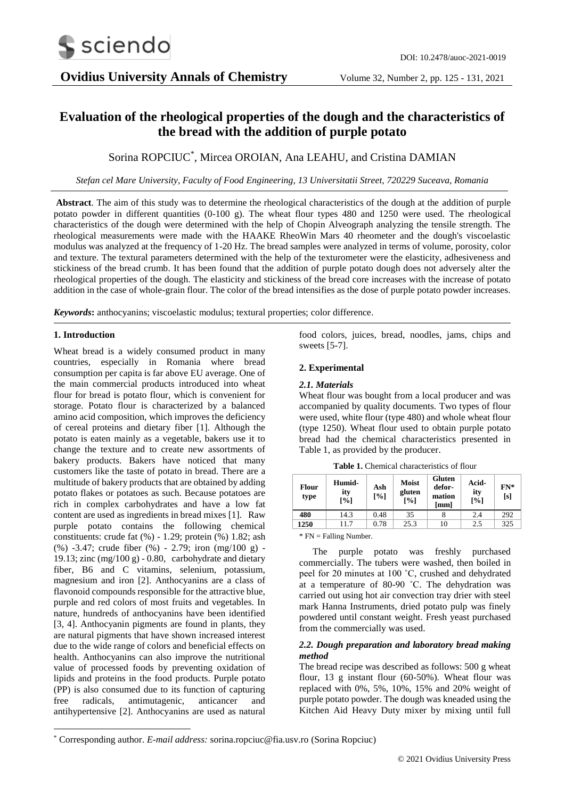# **Evaluation of the rheological properties of the dough and the characteristics of the bread with the addition of purple potato**

# Sorina ROPCIUC\* , Mircea OROIAN, Ana LEAHU, and Cristina DAMIAN

*Stefan cel Mare University, Faculty of Food Engineering, 13 Universitatii Street, 720229 Suceava, Romania*

**Abstract**. The aim of this study was to determine the rheological characteristics of the dough at the addition of purple potato powder in different quantities (0-100 g). The wheat flour types 480 and 1250 were used. The rheological characteristics of the dough were determined with the help of Chopin Alveograph analyzing the tensile strength. The rheological measurements were made with the HAAKE RheoWin Mars 40 rheometer and the dough's viscoelastic modulus was analyzed at the frequency of 1-20 Hz. The bread samples were analyzed in terms of volume, porosity, color and texture. The textural parameters determined with the help of the texturometer were the elasticity, adhesiveness and stickiness of the bread crumb. It has been found that the addition of purple potato dough does not adversely alter the rheological properties of the dough. The elasticity and stickiness of the bread core increases with the increase of potato addition in the case of whole-grain flour. The color of the bread intensifies as the dose of purple potato powder increases.

*Keywords***:** anthocyanins; viscoelastic modulus; textural properties; color difference.

# **1. Introduction**

-

Wheat bread is a widely consumed product in many countries, especially in Romania where bread consumption per capita is far above EU average. One of the main commercial products introduced into wheat flour for bread is potato flour, which is convenient for storage. Potato flour is characterized by a balanced amino acid composition, which improves the deficiency of cereal proteins and dietary fiber [1]. Although the potato is eaten mainly as a vegetable, bakers use it to change the texture and to create new assortments of bakery products. Bakers have noticed that many customers like the taste of potato in bread. There are a multitude of bakery products that are obtained by adding potato flakes or potatoes as such. Because potatoes are rich in complex carbohydrates and have a low fat content are used as ingredients in bread mixes [1]. Raw purple potato contains the following chemical constituents: crude fat (%) - 1.29; protein (%) 1.82; ash (%) -3.47; crude fiber (%) - 2.79; iron (mg/100 g) - 19.13; zinc  $(mg/100 g)$  - 0.80, carbohydrate and dietary fiber, B6 and C vitamins, selenium, potassium, magnesium and iron [2]. Anthocyanins are a class of flavonoid compounds responsible for the attractive blue, purple and red colors of most fruits and vegetables. In nature, hundreds of anthocyanins have been identified [3, 4]. Anthocyanin pigments are found in plants, they are natural pigments that have shown increased interest due to the wide range of colors and beneficial effects on health. Anthocyanins can also improve the nutritional value of processed foods by preventing oxidation of lipids and proteins in the food products. Purple potato (PP) is also consumed due to its function of capturing free radicals, antimutagenic, anticancer and antihypertensive [2]. Anthocyanins are used as natural

food colors, juices, bread, noodles, jams, chips and sweets [5-7].

# **2. Experimental**

### *2.1. Materials*

Wheat flour was bought from a local producer and was accompanied by quality documents. Two types of flour were used, white flour (type 480) and whole wheat flour (type 1250). Wheat flour used to obtain purple potato bread had the chemical characteristics presented in Table 1, as provided by the producer.

| <b>Flour</b><br>type | Humid-<br>ity<br>[%] | Ash<br>[%] | <b>Moist</b><br>gluten<br>[%] | Gluten<br>defor-<br>mation<br>[mm] | Acid-<br>ity<br>[%] | $FN*$<br>[s] |
|----------------------|----------------------|------------|-------------------------------|------------------------------------|---------------------|--------------|
| 480                  | 14.3                 | 0.48       | 35                            |                                    | 2.4                 | 292          |
| 1250                 | 11.7                 | 0.78       | 25.3                          | 10                                 | 2.5                 | 325          |

**Table 1.** Chemical characteristics of flour

\* FN = Falling Number.

The purple potato was freshly purchased commercially. The tubers were washed, then boiled in peel for 20 minutes at 100 ˚C, crushed and dehydrated at a temperature of 80-90 ˚C. The dehydration was carried out using hot air convection tray drier with steel mark Hanna Instruments, dried potato pulp was finely powdered until constant weight. Fresh yeast purchased from the commercially was used.

# *2.2. Dough preparation and laboratory bread making method*

The bread recipe was described as follows: 500 g wheat flour, 13 g instant flour (60-50%). Wheat flour was replaced with 0%, 5%, 10%, 15% and 20% weight of purple potato powder. The dough was kneaded using the Kitchen Aid Heavy Duty mixer by mixing until full

<sup>\*</sup> Corresponding author. *E-mail address:* sorina.ropciuc@fia.usv.ro (Sorina Ropciuc)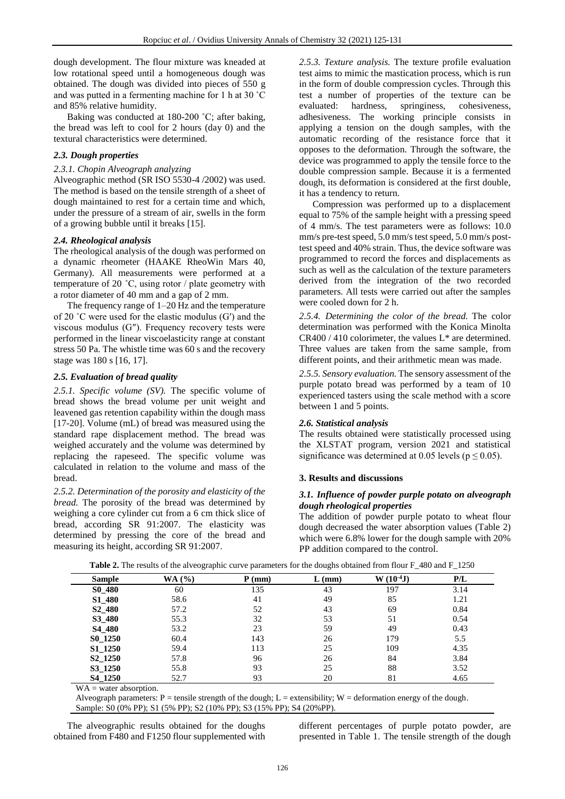dough development. The flour mixture was kneaded at low rotational speed until a homogeneous dough was obtained. The dough was divided into pieces of 550 g and was putted in a fermenting machine for 1 h at 30 ˚C and 85% relative humidity.

Baking was conducted at 180-200 ˚C; after baking, the bread was left to cool for 2 hours (day 0) and the textural characteristics were determined.

# *2.3. Dough properties*

# *2.3.1. Chopin Alveograph analyzing*

Alveographic method (SR ISO 5530-4 /2002) was used. The method is based on the tensile strength of a sheet of dough maintained to rest for a certain time and which, under the pressure of a stream of air, swells in the form of a growing bubble until it breaks [15].

#### *2.4. Rheological analysis*

The rheological analysis of the dough was performed on a dynamic rheometer (HAAKE RheoWin Mars 40, Germany). All measurements were performed at a temperature of 20 ˚C, using rotor / plate geometry with a rotor diameter of 40 mm and a gap of 2 mm.

The frequency range of 1–20 Hz and the temperature of 20  $\degree$ C were used for the elastic modulus (G') and the viscous modulus (G″). Frequency recovery tests were performed in the linear viscoelasticity range at constant stress 50 Pa. The whistle time was 60 s and the recovery stage was 180 s [16, 17].

#### *2.5. Evaluation of bread quality*

*2.5.1. Specific volume (SV).* The specific volume of bread shows the bread volume per unit weight and leavened gas retention capability within the dough mass [17-20]. Volume (mL) of bread was measured using the standard rape displacement method. The bread was weighed accurately and the volume was determined by replacing the rapeseed. The specific volume was calculated in relation to the volume and mass of the bread.

*2.5.2. Determination of the porosity and elasticity of the bread.* The porosity of the bread was determined by weighing a core cylinder cut from a 6 cm thick slice of bread, according SR 91:2007. The elasticity was determined by pressing the core of the bread and measuring its height, according SR 91:2007.

*2.5.3. Texture analysis.* The texture profile evaluation test aims to mimic the mastication process, which is run in the form of double compression cycles. Through this test a number of properties of the texture can be evaluated: hardness, springiness, cohesiveness, adhesiveness. The working principle consists in applying a tension on the dough samples, with the automatic recording of the resistance force that it opposes to the deformation. Through the software, the device was programmed to apply the tensile force to the double compression sample. Because it is a fermented dough, its deformation is considered at the first double, it has a tendency to return.

Compression was performed up to a displacement equal to 75% of the sample height with a pressing speed of 4 mm/s. The test parameters were as follows: 10.0 mm/s pre-test speed, 5.0 mm/s test speed, 5.0 mm/s posttest speed and 40% strain. Thus, the device software was programmed to record the forces and displacements as such as well as the calculation of the texture parameters derived from the integration of the two recorded parameters. All tests were carried out after the samples were cooled down for 2 h.

*2.5.4. Determining the color of the bread.* The color determination was performed with the Konica Minolta  $CR400 / 410$  colorimeter, the values  $L^*$  are determined. Three values are taken from the same sample, from different points, and their arithmetic mean was made.

*2.5.5. Sensory evaluation.* The sensory assessment of the purple potato bread was performed by a team of 10 experienced tasters using the scale method with a score between 1 and 5 points.

#### *2.6. Statistical analysis*

The results obtained were statistically processed using the XLSTAT program, version 2021 and statistical significance was determined at 0.05 levels ( $p \le 0.05$ ).

#### **3. Results and discussions**

#### *3.1. Influence of powder purple potato on alveograph dough rheological properties*

The addition of powder purple potato to wheat flour dough decreased the water absorption values (Table 2) which were 6.8% lower for the dough sample with 20% PP addition compared to the control.

| <b>Sample</b>                    | WA (%) | $P$ (mm) | $L$ (mm) | $W(10^{-4}J)$ | P/L  |
|----------------------------------|--------|----------|----------|---------------|------|
| S <sub>0</sub> _48 <sub>0</sub>  | 60     | 135      | 43       | 197           | 3.14 |
| S1_480                           | 58.6   | 41       | 49       | 85            | 1.21 |
| S <sub>2</sub> _480              | 57.2   | 52       | 43       | 69            | 0.84 |
| S3_480                           | 55.3   | 32       | 53       | 51            | 0.54 |
| S <sub>4</sub> _480              | 53.2   | 23       | 59       | 49            | 0.43 |
| S <sub>0</sub> _125 <sub>0</sub> | 60.4   | 143      | 26       | 179           | 5.5  |
| S1 1250                          | 59.4   | 113      | 25       | 109           | 4.35 |
| S <sub>2</sub> _1250             | 57.8   | 96       | 26       | 84            | 3.84 |
| S3_1250                          | 55.8   | 93       | 25       | 88            | 3.52 |
| S4 1250                          | 52.7   | 93       | 20       | 81            | 4.65 |

**Table 2.** The results of the alveographic curve parameters for the doughs obtained from flour F\_480 and F\_1250

WA = water absorption.

Alveograph parameters: P = tensile strength of the dough; L = extensibility; W = deformation energy of the dough. Sample: S0 (0% PP); S1 (5% PP); S2 (10% PP); S3 (15% PP); S4 (20%PP).

The alveographic results obtained for the doughs obtained from F480 and F1250 flour supplemented with

different percentages of purple potato powder, are presented in Table 1. The tensile strength of the dough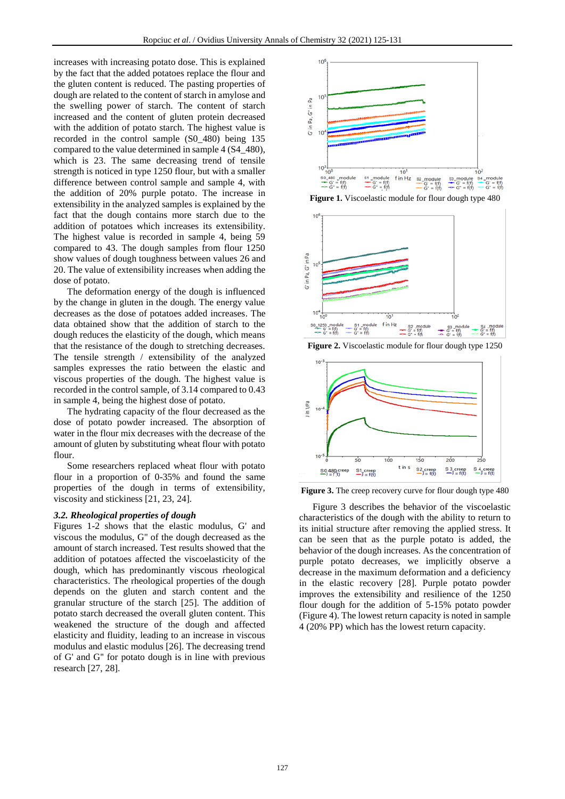increases with increasing potato dose. This is explained by the fact that the added potatoes replace the flour and the gluten content is reduced. The pasting properties of dough are related to the content of starch in amylose and the swelling power of starch. The content of starch increased and the content of gluten protein decreased with the addition of potato starch. The highest value is recorded in the control sample (S0\_480) being 135 compared to the value determined in sample 4 (S4\_480), which is 23. The same decreasing trend of tensile strength is noticed in type 1250 flour, but with a smaller difference between control sample and sample 4, with the addition of 20% purple potato. The increase in extensibility in the analyzed samples is explained by the fact that the dough contains more starch due to the addition of potatoes which increases its extensibility. The highest value is recorded in sample 4, being 59 compared to 43. The dough samples from flour 1250 show values of dough toughness between values 26 and 20. The value of extensibility increases when adding the dose of potato.

The deformation energy of the dough is influenced by the change in gluten in the dough. The energy value decreases as the dose of potatoes added increases. The data obtained show that the addition of starch to the dough reduces the elasticity of the dough, which means that the resistance of the dough to stretching decreases. The tensile strength / extensibility of the analyzed samples expresses the ratio between the elastic and viscous properties of the dough. The highest value is recorded in the control sample, of 3.14 compared to 0.43 in sample 4, being the highest dose of potato.

The hydrating capacity of the flour decreased as the dose of potato powder increased. The absorption of water in the flour mix decreases with the decrease of the amount of gluten by substituting wheat flour with potato flour.

Some researchers replaced wheat flour with potato flour in a proportion of 0-35% and found the same properties of the dough in terms of extensibility, viscosity and stickiness [21, 23, 24].

#### *3.2. Rheological properties of dough*

Figures 1-2 shows that the elastic modulus, G' and viscous the modulus, G'' of the dough decreased as the amount of starch increased. Test results showed that the addition of potatoes affected the viscoelasticity of the dough, which has predominantly viscous rheological characteristics. The rheological properties of the dough depends on the gluten and starch content and the granular structure of the starch [25]. The addition of potato starch decreased the overall gluten content. This weakened the structure of the dough and affected elasticity and fluidity, leading to an increase in viscous modulus and elastic modulus [26]. The decreasing trend of G' and G'' for potato dough is in line with previous research [27, 28].



**Figure 1.** Viscoelastic module for flour dough type 480



**Figure 2.** Viscoelastic module for flour dough type 1250



**Figure 3.** The creep recovery curve for flour dough type 480

Figure 3 describes the behavior of the viscoelastic characteristics of the dough with the ability to return to its initial structure after removing the applied stress. It can be seen that as the purple potato is added, the behavior of the dough increases. As the concentration of purple potato decreases, we implicitly observe a decrease in the maximum deformation and a deficiency in the elastic recovery [28]. Purple potato powder improves the extensibility and resilience of the 1250 flour dough for the addition of 5-15% potato powder (Figure 4). The lowest return capacity is noted in sample 4 (20% PP) which has the lowest return capacity.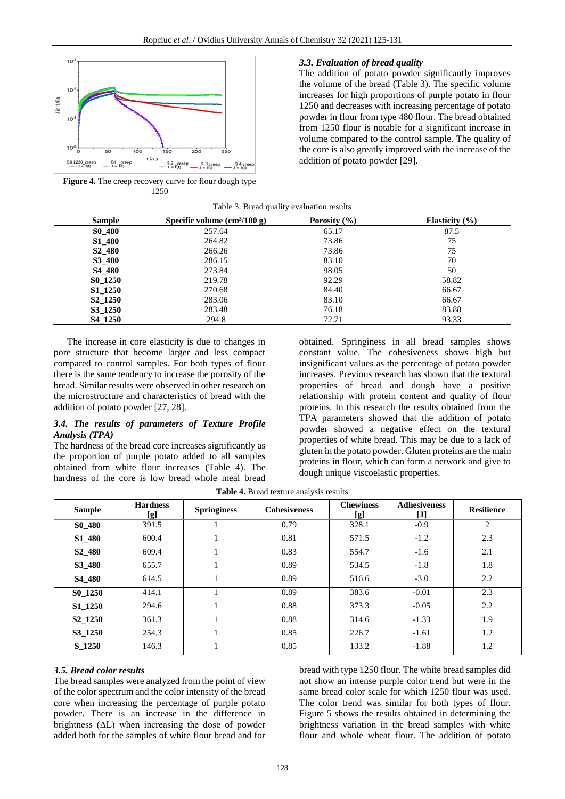

**Figure 4.** The creep recovery curve for flour dough type 1250

#### *3.3. Evaluation of bread quality*

The addition of potato powder significantly improves the volume of the bread (Table 3). The specific volume increases for high proportions of purple potato in flour 1250 and decreases with increasing percentage of potato powder in flour from type 480 flour. The bread obtained from 1250 flour is notable for a significant increase in volume compared to the control sample. The quality of the core is also greatly improved with the increase of the addition of potato powder [29].

| Table 3. Bread quality evaluation results |  |  |  |  |  |
|-------------------------------------------|--|--|--|--|--|
|-------------------------------------------|--|--|--|--|--|

| <b>Sample</b>                   | Specific volume $\text{cm}^3/100 \text{ g}$ | Porosity $(\% )$ | Elasticity $(\% )$ |
|---------------------------------|---------------------------------------------|------------------|--------------------|
| S <sub>0</sub> 48 <sub>0</sub>  | 257.64                                      | 65.17            | 87.5               |
| S <sub>1</sub> 48 <sub>0</sub>  | 264.82                                      | 73.86            | 75                 |
| S <sub>2</sub> 48 <sub>0</sub>  | 266.26                                      | 73.86            | 75                 |
| S3_480                          | 286.15                                      | 83.10            | 70                 |
| S <sub>4</sub> 48 <sub>0</sub>  | 273.84                                      | 98.05            | 50                 |
| S <sub>0</sub> 125 <sub>0</sub> | 219.78                                      | 92.29            | 58.82              |
| S1 1250                         | 270.68                                      | 84.40            | 66.67              |
| S <sub>2</sub> 1250             | 283.06                                      | 83.10            | 66.67              |
| S3 1250                         | 283.48                                      | 76.18            | 83.88              |
| S4 1250                         | 294.8                                       | 72.71            | 93.33              |

The increase in core elasticity is due to changes in pore structure that become larger and less compact compared to control samples. For both types of flour there is the same tendency to increase the porosity of the bread. Similar results were observed in other research on the microstructure and characteristics of bread with the addition of potato powder [27, 28].

# *3.4. The results of parameters of Texture Profile Analysis (TPA)*

The hardness of the bread core increases significantly as the proportion of purple potato added to all samples obtained from white flour increases (Table 4). The hardness of the core is low bread whole meal bread

obtained. Springiness in all bread samples shows constant value. The cohesiveness shows high but insignificant values as the percentage of potato powder increases. Previous research has shown that the textural properties of bread and dough have a positive relationship with protein content and quality of flour proteins. In this research the results obtained from the TPA parameters showed that the addition of potato powder showed a negative effect on the textural properties of white bread. This may be due to a lack of gluten in the potato powder. Gluten proteins are the main proteins in flour, which can form a network and give to dough unique viscoelastic properties.

**Table 4.** Bread texture analysis results

| <b>Sample</b>                  | <b>Hardness</b><br>[g] | <b>Springiness</b> | <b>Cohesiveness</b> | <b>Chewiness</b><br>[g] | <b>Adhesiveness</b><br>$[J]$ | <b>Resilience</b> |
|--------------------------------|------------------------|--------------------|---------------------|-------------------------|------------------------------|-------------------|
| S <sub>0</sub> 48 <sub>0</sub> | 391.5                  |                    | 0.79                | 328.1                   | $-0.9$                       | 2                 |
| <b>S1_480</b>                  | 600.4                  |                    | 0.81                | 571.5                   | $-1.2$                       | 2.3               |
| S <sub>2</sub> _480            | 609.4                  |                    | 0.83                | 554.7                   | $-1.6$                       | 2.1               |
| S3 480                         | 655.7                  |                    | 0.89                | 534.5                   | $-1.8$                       | 1.8               |
| S4 480                         | 614.5                  |                    | 0.89                | 516.6                   | $-3.0$                       | 2.2               |
| <b>S0_1250</b>                 | 414.1                  |                    | 0.89                | 383.6                   | $-0.01$                      | 2.3               |
| <b>S1_1250</b>                 | 294.6                  |                    | 0.88                | 373.3                   | $-0.05$                      | 2.2               |
| S2 1250                        | 361.3                  |                    | 0.88                | 314.6                   | $-1.33$                      | 1.9               |
| S3 1250                        | 254.3                  |                    | 0.85                | 226.7                   | $-1.61$                      | 1.2               |
| S 1250                         | 146.3                  |                    | 0.85                | 133.2                   | $-1.88$                      | 1.2               |

#### *3.5. Bread color results*

The bread samples were analyzed from the point of view of the color spectrum and the color intensity of the bread core when increasing the percentage of purple potato powder. There is an increase in the difference in brightness  $( \Delta L)$  when increasing the dose of powder added both for the samples of white flour bread and for

bread with type 1250 flour. The white bread samples did not show an intense purple color trend but were in the same bread color scale for which 1250 flour was used. The color trend was similar for both types of flour. Figure 5 shows the results obtained in determining the brightness variation in the bread samples with white flour and whole wheat flour. The addition of potato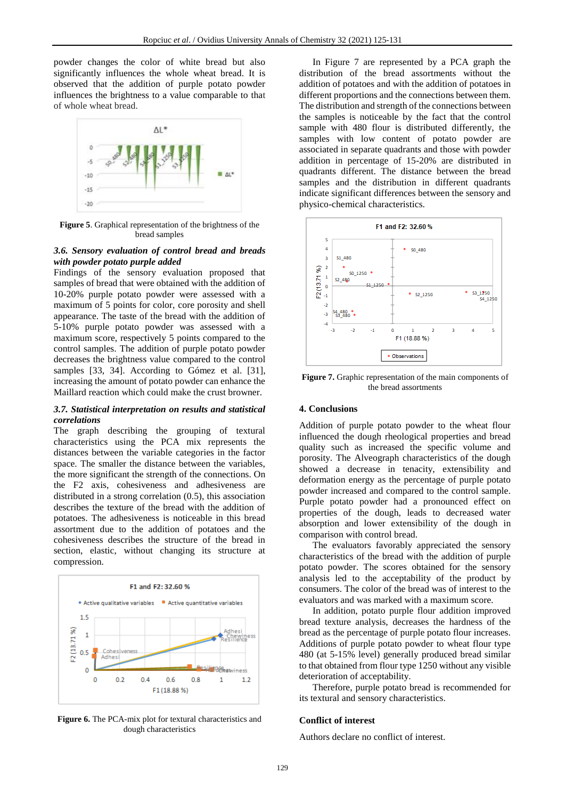powder changes the color of white bread but also significantly influences the whole wheat bread. It is observed that the addition of purple potato powder influences the brightness to a value comparable to that of whole wheat bread.



**Figure 5**. Graphical representation of the brightness of the bread samples

# *3.6. Sensory evaluation of control bread and breads with powder potato purple added*

Findings of the sensory evaluation proposed that samples of bread that were obtained with the addition of 10-20% purple potato powder were assessed with a maximum of 5 points for color, core porosity and shell appearance. The taste of the bread with the addition of 5-10% purple potato powder was assessed with a maximum score, respectively 5 points compared to the control samples. The addition of purple potato powder decreases the brightness value compared to the control samples [33, 34]. According to Gómez et al. [31], increasing the amount of potato powder can enhance the Maillard reaction which could make the crust browner.

#### *3.7. Statistical interpretation on results and statistical correlations*

The graph describing the grouping of textural characteristics using the PCA mix represents the distances between the variable categories in the factor space. The smaller the distance between the variables, the more significant the strength of the connections. On the F2 axis, cohesiveness and adhesiveness are distributed in a strong correlation (0.5), this association describes the texture of the bread with the addition of potatoes. The adhesiveness is noticeable in this bread assortment due to the addition of potatoes and the cohesiveness describes the structure of the bread in section, elastic, without changing its structure at compression.



**Figure 6.** The PCA-mix plot for textural characteristics and dough characteristics

In Figure 7 are represented by a PCA graph the distribution of the bread assortments without the addition of potatoes and with the addition of potatoes in different proportions and the connections between them. The distribution and strength of the connections between the samples is noticeable by the fact that the control sample with 480 flour is distributed differently, the samples with low content of potato powder are associated in separate quadrants and those with powder addition in percentage of 15-20% are distributed in quadrants different. The distance between the bread samples and the distribution in different quadrants indicate significant differences between the sensory and physico-chemical characteristics.



**Figure 7.** Graphic representation of the main components of the bread assortments

# **4. Conclusions**

Addition of purple potato powder to the wheat flour influenced the dough rheological properties and bread quality such as increased the specific volume and porosity. The Alveograph characteristics of the dough showed a decrease in tenacity, extensibility and deformation energy as the percentage of purple potato powder increased and compared to the control sample. Purple potato powder had a pronounced effect on properties of the dough, leads to decreased water absorption and lower extensibility of the dough in comparison with control bread.

The evaluators favorably appreciated the sensory characteristics of the bread with the addition of purple potato powder. The scores obtained for the sensory analysis led to the acceptability of the product by consumers. The color of the bread was of interest to the evaluators and was marked with a maximum score.

In addition, potato purple flour addition improved bread texture analysis, decreases the hardness of the bread as the percentage of purple potato flour increases. Additions of purple potato powder to wheat flour type 480 (at 5-15% level) generally produced bread similar to that obtained from flour type 1250 without any visible deterioration of acceptability.

Therefore, purple potato bread is recommended for its textural and sensory characteristics.

# **Conflict of interest**

Authors declare no conflict of interest.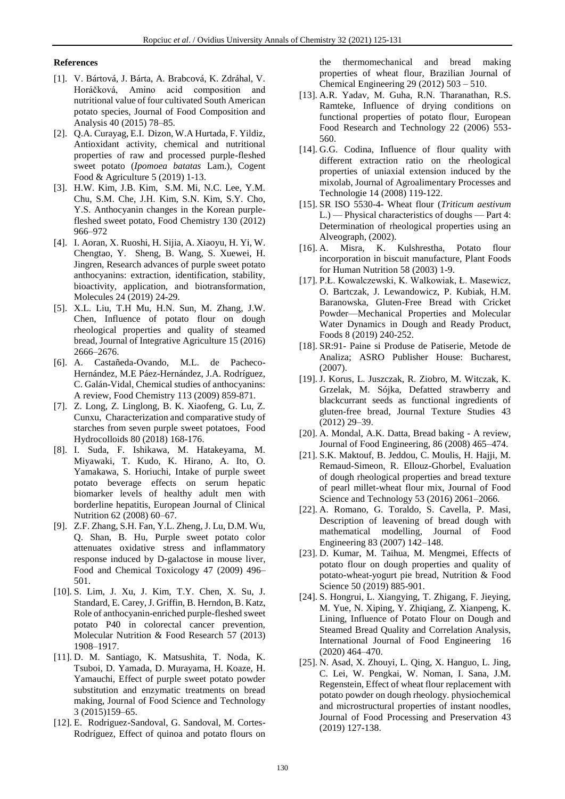### **References**

- [1]. V. Bártová, J. Bárta, A. Brabcová, K. Zdráhal, V. Horáčková, Amino acid composition and nutritional value of four cultivated South American potato species, Journal of Food Composition and Analysis 40 (2015) 78–85.
- [2]. Q.A. Curayag, E.I. Dizon, W.A Hurtada, F. Yildiz, Antioxidant activity, chemical and nutritional properties of raw and processed purple-fleshed sweet potato (*Ipomoea batatas* Lam.), Cogent Food & Agriculture 5 (2019) 1-13.
- [3]. H.W. Kim, J.B. Kim, S.M. Mi, N.C. Lee, Y.M. Chu, S.M. Che, J.H. Kim, S.N. Kim, S.Y. Cho, Y.S. Anthocyanin changes in the Korean purplefleshed sweet potato, Food Chemistry 130 (2012) 966–972
- [4]. I. Aoran, X. Ruoshi, H. Sijia, A. Xiaoyu, H. Yi, W. Chengtao, Y. Sheng, B. Wang, S. Xuewei, H. Jingren, Research advances of purple sweet potato anthocyanins: extraction, identification, stability, bioactivity, application, and biotransformation, Molecules 24 (2019) 24-29.
- [5]. X.L. Liu, T.H Mu, H.N. Sun, M. Zhang, J.W. Chen, Influence of potato flour on dough rheological properties and quality of steamed bread, Journal of Integrative Agriculture 15 (2016) 2666–2676.
- [6]. A. Castañeda-Ovando, M.L. de Pacheco-Hernández, M.E Páez-Hernández, J.A. Rodríguez, C. Galán-Vidal, Chemical studies of anthocyanins: A review, Food Chemistry 113 (2009) 859-871.
- [7]. Z. Long, Z. Linglong, B. K. Xiaofeng, G. Lu, Z. Cunxu, Characterization and comparative study of starches from seven purple sweet potatoes, Food Hydrocolloids 80 (2018) 168-176.
- [8]. I. Suda, F. Ishikawa, M. Hatakeyama, M. Miyawaki, T. Kudo, K. Hirano, A. Ito, O. Yamakawa, S. Horiuchi, Intake of purple sweet potato beverage effects on serum hepatic biomarker levels of healthy adult men with borderline hepatitis, European Journal of Clinical Nutrition 62 (2008) 60–67.
- [9]. Z.F. Zhang, S.H. Fan, Y.L. Zheng, J. Lu, D.M. Wu, Q. Shan, B. Hu, Purple sweet potato color attenuates oxidative stress and inflammatory response induced by D-galactose in mouse liver, Food and Chemical Toxicology 47 (2009) 496– 501.
- [10]. S. Lim, J. Xu, J. Kim, T.Y. Chen, X. Su, J. Standard, E. Carey, J. Griffin, B. Herndon, B. Katz, Role of anthocyanin-enriched purple-fleshed sweet potato P40 in colorectal cancer prevention, Molecular Nutrition & Food Research 57 (2013) 1908–1917.
- [11]. D. M. Santiago, K. Matsushita, T. Noda, K. Tsuboi, D. Yamada, D. Murayama, H. Koaze, H. Yamauchi, Effect of purple sweet potato powder substitution and enzymatic treatments on bread making, Journal of Food Science and Technology 3 (2015)159–65.
- [12]. E. Rodriguez-Sandoval, G. Sandoval, M. Cortes-Rodríguez, Effect of quinoa and potato flours on

the thermomechanical and bread making properties of wheat flour, Brazilian Journal of Chemical Engineering 29 (2012) 503 – 510.

- [13]. A.R. Yadav, M. Guha, R.N. Tharanathan, R.S. Ramteke, Influence of drying conditions on functional properties of potato flour, European Food Research and Technology 22 (2006) 553- 560.
- [14]. G.G. Codina, Influence of flour quality with different extraction ratio on the rheological properties of uniaxial extension induced by the mixolab, Journal of Agroalimentary Processes and Technologie 14 (2008) 119-122.
- [15]. SR ISO 5530-4- Wheat flour (*Triticum aestivum* L.) — Physical characteristics of doughs — Part 4: Determination of rheological properties using an Alveograph, (2002).
- [16]. A. Misra, K. Kulshrestha, Potato flour incorporation in biscuit manufacture, Plant Foods for Human Nutrition 58 (2003) 1-9.
- [17]. P.Ł. Kowalczewski, K. Walkowiak, Ł. Masewicz, O. Bartczak, J. Lewandowicz, P. Kubiak, H.M. Baranowska, Gluten-Free Bread with Cricket Powder—Mechanical Properties and Molecular Water Dynamics in Dough and Ready Product, Foods 8 (2019) 240-252.
- [18]. SR:91- Paine si Produse de Patiserie, Metode de Analiza; ASRO Publisher House: Bucharest, (2007).
- [19]. J. Korus, L. Juszczak, R. Ziobro, M. Witczak, K. Grzelak, M. Sójka, Defatted strawberry and blackcurrant seeds as functional ingredients of gluten-free bread, Journal Texture Studies 43 (2012) 29–39.
- [20]. A. Mondal, A.K. Datta, Bread baking A review, Journal of Food Engineering, 86 (2008) 465–474.
- [21]. S.K. Maktouf, B. Jeddou, C. Moulis, H. Hajji, M. Remaud-Simeon, R. Ellouz-Ghorbel, Evaluation of dough rheological properties and bread texture of pearl millet-wheat flour mix, Journal of Food Science and Technology 53 (2016) 2061–2066.
- [22]. A. Romano, G. Toraldo, S. Cavella, P. Masi, Description of leavening of bread dough with mathematical modelling, Journal of Food Engineering 83 (2007) 142–148.
- [23]. D. Kumar, M. Taihua, M. Mengmei, Effects of potato flour on dough properties and quality of potato-wheat-yogurt pie bread, Nutrition & Food Science 50 (2019) 885-901.
- [24]. S. Hongrui, L. Xiangying, T. Zhigang, F. Jieying, M. Yue, N. Xiping, Y. Zhiqiang, Z. Xianpeng, K. Lining, Influence of Potato Flour on Dough and Steamed Bread Quality and Correlation Analysis, International Journal of Food Engineering 16 (2020) 464–470.
- [25]. N. Asad, X. Zhouyi, L. Qing, X. Hanguo, L. Jing, C. Lei, W. Pengkai, W. Noman, I. Sana, J.M. Regenstein, Effect of wheat flour replacement with potato powder on dough rheology. physiochemical and microstructural properties of instant noodles, Journal of Food Processing and Preservation 43 (2019) 127-138.